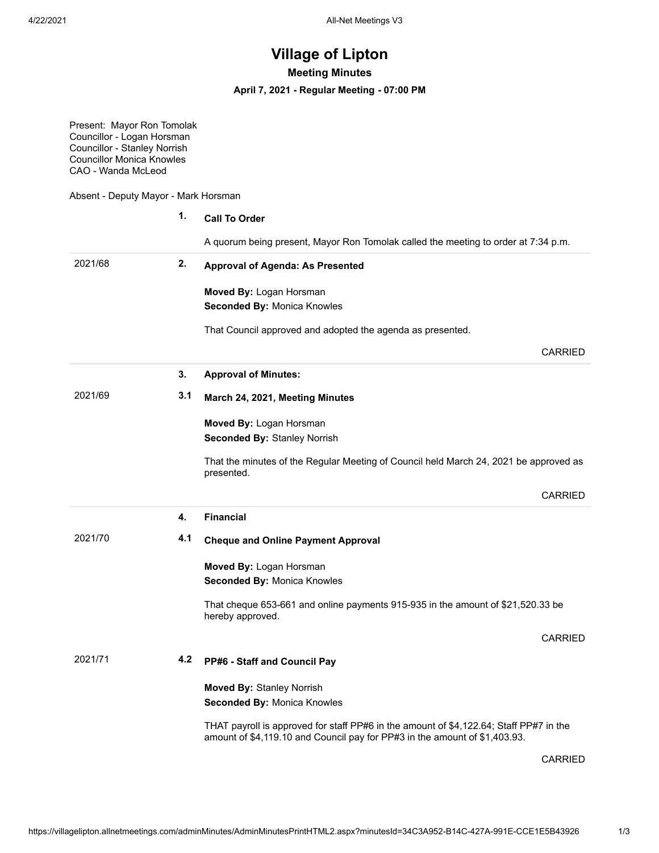## **Village of Lipton**

**Meeting Minutes**

**April 7, 2021 - Regular Meeting - 07:00 PM**

Present: Mayor Ron Tomolak Councillor - Logan Horsman Councillor - Stanley Norrish Councillor Monica Knowles CAO - Wanda McLeod

Absent - Deputy Mayor - Mark Horsman

|         | 1.  | <b>Call To Order</b>                                                                                |  |
|---------|-----|-----------------------------------------------------------------------------------------------------|--|
|         |     | A quorum being present, Mayor Ron Tomolak called the meeting to order at 7:34 p.m.                  |  |
| 2021/68 | 2.  | <b>Approval of Agenda: As Presented</b><br>Moved By: Logan Horsman<br>Seconded By: Monica Knowles   |  |
|         |     |                                                                                                     |  |
|         |     | That Council approved and adopted the agenda as presented.                                          |  |
|         |     | <b>CARRIED</b>                                                                                      |  |
|         | 3.  | <b>Approval of Minutes:</b>                                                                         |  |
| 2021/69 | 3.1 | March 24, 2021, Meeting Minutes                                                                     |  |
|         |     | Moved By: Logan Horsman                                                                             |  |
|         |     | <b>Seconded By: Stanley Norrish</b>                                                                 |  |
|         |     | That the minutes of the Regular Meeting of Council held March 24, 2021 be approved as<br>presented. |  |
|         |     | <b>CARRIED</b>                                                                                      |  |
|         | 4.  | <b>Financial</b>                                                                                    |  |
| 2021/70 | 4.1 | <b>Cheque and Online Payment Approval</b>                                                           |  |
|         |     | Moved By: Logan Horsman                                                                             |  |
|         |     | Seconded By: Monica Knowles                                                                         |  |
|         |     | That cheque 653-661 and online payments 915-935 in the amount of \$21,520.33 be<br>hereby approved. |  |
|         |     | <b>CARRIED</b>                                                                                      |  |
| 2021/71 | 4.2 | PP#6 - Staff and Council Pay                                                                        |  |
|         |     |                                                                                                     |  |
|         |     | <b>Moved By: Stanley Norrish</b>                                                                    |  |
|         |     | Seconded By: Monica Knowles                                                                         |  |

CARRIED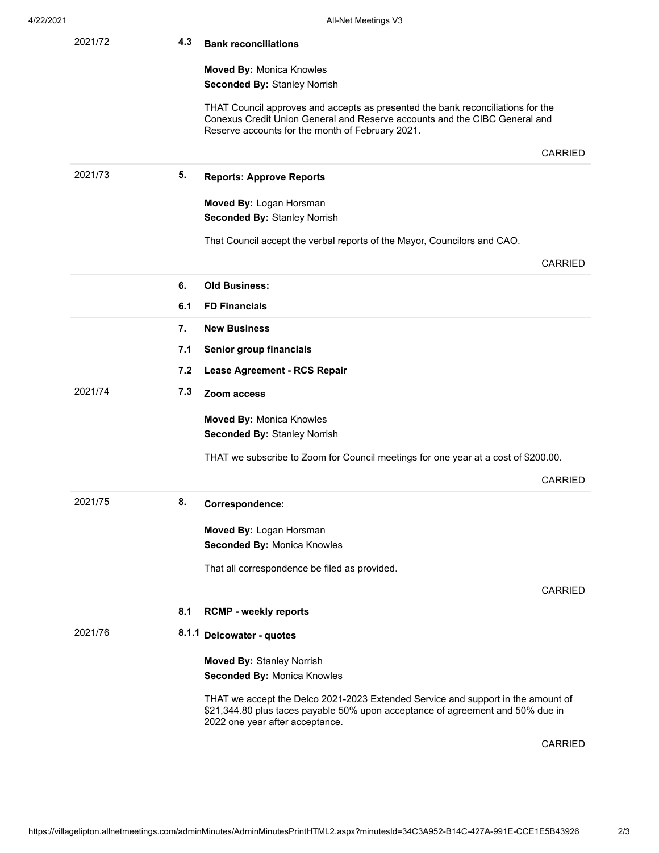| 2021/72 | 4.3 | <b>Bank reconciliations</b>                                                                                                                                                                                       |                |
|---------|-----|-------------------------------------------------------------------------------------------------------------------------------------------------------------------------------------------------------------------|----------------|
|         |     | <b>Moved By: Monica Knowles</b><br><b>Seconded By: Stanley Norrish</b>                                                                                                                                            |                |
|         |     | THAT Council approves and accepts as presented the bank reconciliations for the<br>Conexus Credit Union General and Reserve accounts and the CIBC General and<br>Reserve accounts for the month of February 2021. |                |
|         |     |                                                                                                                                                                                                                   | <b>CARRIED</b> |
| 2021/73 | 5.  | <b>Reports: Approve Reports</b>                                                                                                                                                                                   |                |
|         |     | Moved By: Logan Horsman<br><b>Seconded By: Stanley Norrish</b>                                                                                                                                                    |                |
|         |     | That Council accept the verbal reports of the Mayor, Councilors and CAO.                                                                                                                                          |                |
|         |     |                                                                                                                                                                                                                   | <b>CARRIED</b> |
|         | 6.  | <b>Old Business:</b>                                                                                                                                                                                              |                |
|         | 6.1 | <b>FD Financials</b>                                                                                                                                                                                              |                |
|         | 7.  | <b>New Business</b>                                                                                                                                                                                               |                |
|         | 7.1 | Senior group financials                                                                                                                                                                                           |                |
|         | 7.2 | Lease Agreement - RCS Repair                                                                                                                                                                                      |                |
| 2021/74 | 7.3 | Zoom access                                                                                                                                                                                                       |                |
|         |     | <b>Moved By: Monica Knowles</b><br><b>Seconded By: Stanley Norrish</b>                                                                                                                                            |                |
|         |     | THAT we subscribe to Zoom for Council meetings for one year at a cost of \$200.00.                                                                                                                                |                |
|         |     |                                                                                                                                                                                                                   | <b>CARRIED</b> |
| 2021/75 | 8.  | Correspondence:                                                                                                                                                                                                   |                |
|         |     | Moved By: Logan Horsman                                                                                                                                                                                           |                |
|         |     | Seconded By: Monica Knowles                                                                                                                                                                                       |                |
|         |     | That all correspondence be filed as provided.                                                                                                                                                                     |                |
|         |     |                                                                                                                                                                                                                   | <b>CARRIED</b> |
|         | 8.1 | <b>RCMP - weekly reports</b>                                                                                                                                                                                      |                |
| 2021/76 |     | 8.1.1 Delcowater - quotes                                                                                                                                                                                         |                |
|         |     | <b>Moved By: Stanley Norrish</b>                                                                                                                                                                                  |                |
|         |     | Seconded By: Monica Knowles                                                                                                                                                                                       |                |
|         |     | THAT we accept the Delco 2021-2023 Extended Service and support in the amount of<br>\$21,344.80 plus taces payable 50% upon acceptance of agreement and 50% due in<br>2022 one year after acceptance.             |                |
|         |     |                                                                                                                                                                                                                   | <b>CARRIED</b> |

https://villagelipton.allnetmeetings.com/adminMinutes/AdminMinutesPrintHTML2.aspx?minutesId=34C3A952-B14C-427A-991E-CCE1E5B43926 2/3